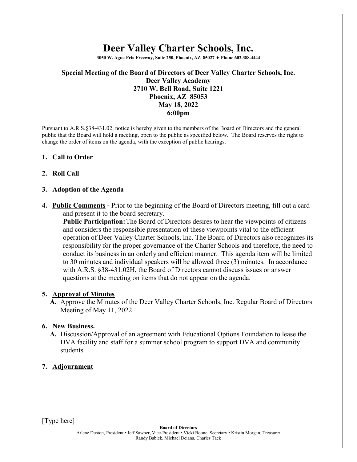# **Deer Valley Charter Schools, Inc.**

**3050 W. Agua Fria Freeway, Suite 250, Phoenix, AZ 85027** ♦ **Phone 602.388.4444**

## **Special Meeting of the Board of Directors of Deer Valley Charter Schools, Inc. Deer Valley Academy 2710 W. Bell Road, Suite 1221 Phoenix, AZ 85053 May 18, 2022 6:00pm**

Pursuant to A.R.S.§38-431.02, notice is hereby given to the members of the Board of Directors and the general public that the Board will hold a meeting, open to the public as specified below. The Board reserves the right to change the order of items on the agenda, with the exception of public hearings.

## **1. Call to Order**

## **2. Roll Call**

#### **3. Adoption of the Agenda**

**4. Public Comments -** Prior to the beginning of the Board of Directors meeting, fill out a card and present it to the board secretary.

**Public Participation:**The Board of Directors desires to hear the viewpoints of citizens and considers the responsible presentation of these viewpoints vital to the efficient operation of Deer Valley Charter Schools, Inc. The Board of Directors also recognizes its responsibility for the proper governance of the Charter Schools and therefore, the need to conduct its business in an orderly and efficient manner. This agenda item will be limited to 30 minutes and individual speakers will be allowed three (3) minutes. In accordance with A.R.S. §38-431.02H, the Board of Directors cannot discuss issues or answer questions at the meeting on items that do not appear on the agenda.

#### **5. Approval of Minutes**

**A.** Approve the Minutes of the Deer Valley Charter Schools, Inc. Regular Board of Directors Meeting of May 11, 2022.

#### **6. New Business.**

**A.** Discussion/Approval of an agreement with Educational Options Foundation to lease the DVA facility and staff for a summer school program to support DVA and community students.

## **7. Adjournment**

[Type here]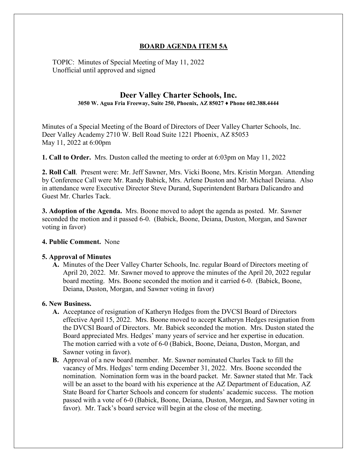## **BOARD AGENDA ITEM 5A**

TOPIC: Minutes of Special Meeting of May 11, 2022 Unofficial until approved and signed

# **Deer Valley Charter Schools, Inc.**

**3050 W. Agua Fria Freeway, Suite 250, Phoenix, AZ 85027 ♦ Phone 602.388.4444**

Minutes of a Special Meeting of the Board of Directors of Deer Valley Charter Schools, Inc. Deer Valley Academy 2710 W. Bell Road Suite 1221 Phoenix, AZ 85053 May 11, 2022 at 6:00pm

**1. Call to Order.** Mrs. Duston called the meeting to order at 6:03pm on May 11, 2022

**2. Roll Call**. Present were: Mr. Jeff Sawner, Mrs. Vicki Boone, Mrs. Kristin Morgan. Attending by Conference Call were Mr. Randy Babick, Mrs. Arlene Duston and Mr. Michael Deiana. Also in attendance were Executive Director Steve Durand, Superintendent Barbara Dalicandro and Guest Mr. Charles Tack.

**3. Adoption of the Agenda.** Mrs. Boone moved to adopt the agenda as posted. Mr. Sawner seconded the motion and it passed 6-0. (Babick, Boone, Deiana, Duston, Morgan, and Sawner voting in favor)

## **4. Public Comment.** None

#### **5. Approval of Minutes**

**A.** Minutes of the Deer Valley Charter Schools, Inc. regular Board of Directors meeting of April 20, 2022. Mr. Sawner moved to approve the minutes of the April 20, 2022 regular board meeting. Mrs. Boone seconded the motion and it carried 6-0. (Babick, Boone, Deiana, Duston, Morgan, and Sawner voting in favor)

## **6. New Business.**

- **A.** Acceptance of resignation of Katheryn Hedges from the DVCSI Board of Directors effective April 15, 2022. Mrs. Boone moved to accept Katheryn Hedges resignation from the DVCSI Board of Directors. Mr. Babick seconded the motion. Mrs. Duston stated the Board appreciated Mrs. Hedges' many years of service and her expertise in education. The motion carried with a vote of 6-0 (Babick, Boone, Deiana, Duston, Morgan, and Sawner voting in favor).
- **B.** Approval of a new board member. Mr. Sawner nominated Charles Tack to fill the vacancy of Mrs. Hedges' term ending December 31, 2022. Mrs. Boone seconded the nomination. Nomination form was in the board packet. Mr. Sawner stated that Mr. Tack will be an asset to the board with his experience at the AZ Department of Education, AZ State Board for Charter Schools and concern for students' academic success. The motion passed with a vote of 6-0 (Babick, Boone, Deiana, Duston, Morgan, and Sawner voting in favor). Mr. Tack's board service will begin at the close of the meeting.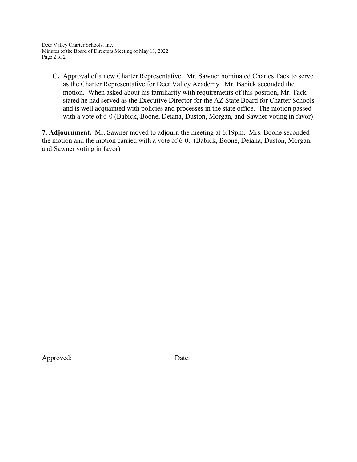Deer Valley Charter Schools, Inc. Minutes of the Board of Directors Meeting of May 11, 2022 Page 2 of 2

**C.** Approval of a new Charter Representative.Mr. Sawner nominated Charles Tack to serve as the Charter Representative for Deer Valley Academy. Mr. Babick seconded the motion. When asked about his familiarity with requirements of this position, Mr. Tack stated he had served as the Executive Director for the AZ State Board for Charter Schools and is well acquainted with policies and processes in the state office. The motion passed with a vote of 6-0 (Babick, Boone, Deiana, Duston, Morgan, and Sawner voting in favor)

**7. Adjournment.** Mr. Sawner moved to adjourn the meeting at 6:19pm. Mrs. Boone seconded the motion and the motion carried with a vote of 6-0. (Babick, Boone, Deiana, Duston, Morgan, and Sawner voting in favor)

Approved: Date: